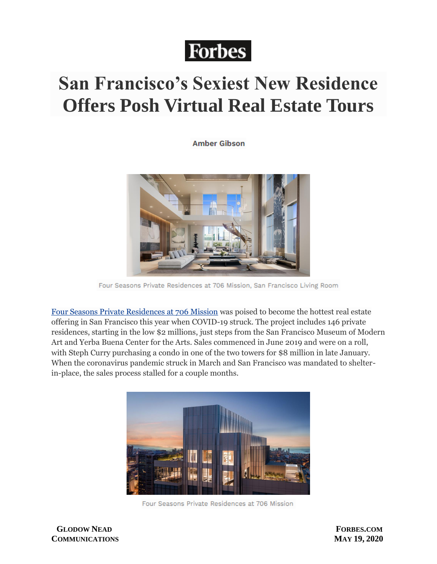## **Forbes**

## **San Francisco's Sexiest New Residence Offers Posh Virtual Real Estate Tours**

**Amber Gibson** 



Four Seasons Private Residences at 706 Mission, San Francisco Living Room

[Four Seasons Private Residences at 706 Mission](https://706sf.com/) was poised to become the hottest real estate offering in San Francisco this year when COVID-19 struck. The project includes 146 private residences, starting in the low \$2 millions, just steps from the San Francisco Museum of Modern Art and Yerba Buena Center for the Arts. Sales commenced in June 2019 and were on a roll, with Steph Curry purchasing a condo in one of the two towers for \$8 million in late January. When the coronavirus pandemic struck in March and San Francisco was mandated to shelterin-place, the sales process stalled for a couple months.



Four Seasons Private Residences at 706 Mission

 **GLODOW NEAD FORBES.COM COMMUNICATIONS MAY 19, 2020**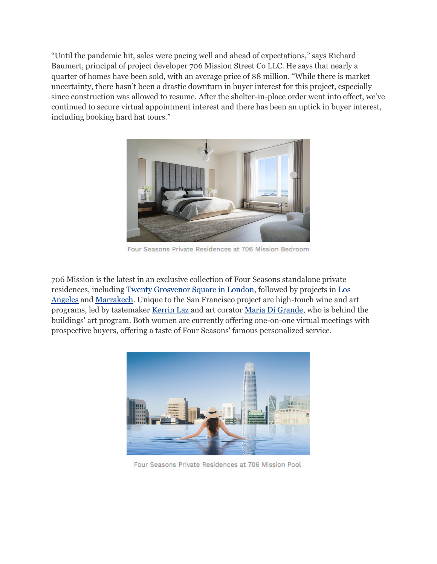"Until the pandemic hit, sales were pacing well and ahead of expectations," says Richard Baumert, principal of project developer 706 Mission Street Co LLC. He says that nearly a quarter of homes have been sold, with an average price of \$8 million. "While there is market uncertainty, there hasn't been a drastic downturn in buyer interest for this project, especially since construction was allowed to resume. After the shelter-in-place order went into effect, we've continued to secure virtual appointment interest and there has been an uptick in buyer interest, including booking hard hat tours."



Four Seasons Private Residences at 706 Mission Bedroom

706 Mission is the latest in an exclusive collection of Four Seasons standalone private residences, including [Twenty Grosvenor Square in London,](https://www.fourseasons.com/residences/private_residences/london_20_grosvenor_square/) followed by projects in [Los](https://www.fourseasons.com/residences/private_residences/los_angeles/)  [Angeles](https://www.fourseasons.com/residences/private_residences/los_angeles/) and [Marrakech.](https://www.fourseasons.com/residences/private_residences/marrakech_at_m_avenue/) Unique to the San Francisco project are high-touch wine and art programs, led by tastemaker [Kerrin Laz](https://www.klazwinecollection.com/) and art curator [Maria Di Grande,](http://mariadigrande.com/) who is behind the buildings' art program. Both women are currently offering one-on-one virtual meetings with prospective buyers, offering a taste of Four Seasons' famous personalized service.



Four Seasons Private Residences at 706 Mission Pool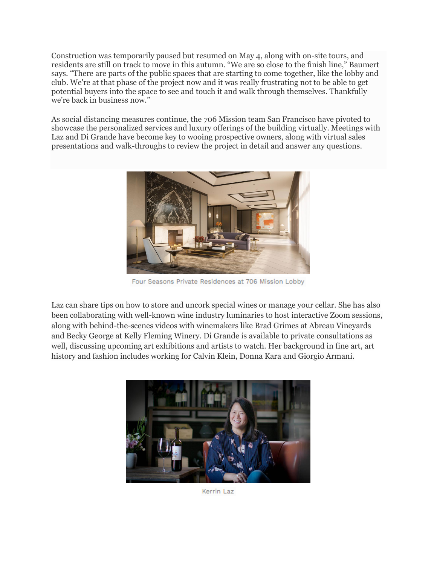Construction was temporarily paused but resumed on May 4, along with on-site tours, and residents are still on track to move in this autumn. "We are so close to the finish line," Baumert says. "There are parts of the public spaces that are starting to come together, like the lobby and club. We're at that phase of the project now and it was really frustrating not to be able to get potential buyers into the space to see and touch it and walk through themselves. Thankfully we're back in business now."

As social distancing measures continue, the 706 Mission team San Francisco have pivoted to showcase the personalized services and luxury offerings of the building virtually. Meetings with Laz and Di Grande have become key to wooing prospective owners, along with virtual sales presentations and walk-throughs to review the project in detail and answer any questions.



Four Seasons Private Residences at 706 Mission Lobby

Laz can share tips on how to store and uncork special wines or manage your cellar. She has also been collaborating with well-known wine industry luminaries to host interactive Zoom sessions, along with behind-the-scenes videos with winemakers like Brad Grimes at Abreau Vineyards and Becky George at Kelly Fleming Winery. Di Grande is available to private consultations as well, discussing upcoming art exhibitions and artists to watch. Her background in fine art, art history and fashion includes working for Calvin Klein, Donna Kara and Giorgio Armani.



Kerrin Laz